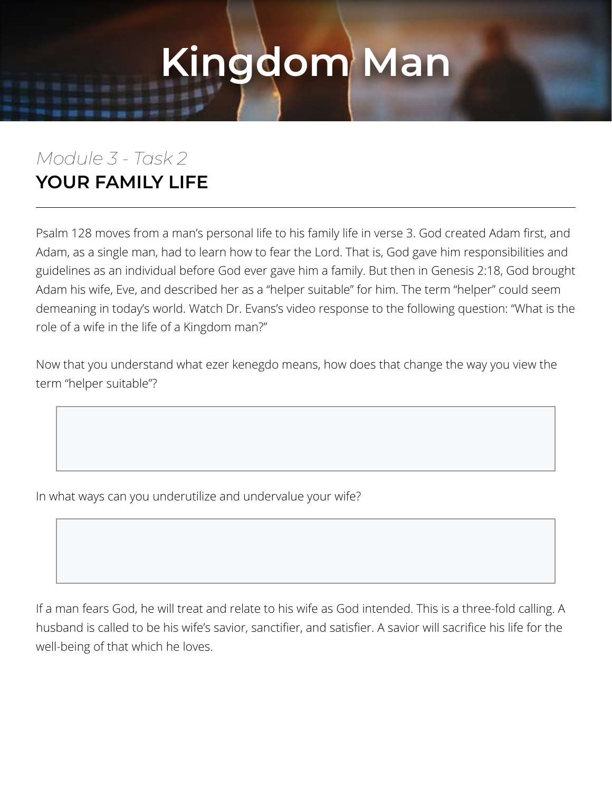#### *Module 3 - Task 2* **YOUR FAMILY LIFE**

Psalm 128 moves from a man's personal life to his family life in verse 3. God created Adam first, and Adam, as a single man, had to learn how to fear the Lord. That is, God gave him responsibilities and guidelines as an individual before God ever gave him a family. But then in Genesis 2:18, God brought Adam his wife, Eve, and described her as a "helper suitable" for him. The term "helper" could seem demeaning in today's world. Watch Dr. Evans's video response to the following question: "What is the role of a wife in the life of a Kingdom man?"

Now that you understand what ezer kenegdo means, how does that change the way you view the term "helper suitable"?

In what ways can you underutilize and undervalue your wife?

If a man fears God, he will treat and relate to his wife as God intended. This is a three-fold calling. A husband is called to be his wife's savior, sanctifier, and satisfier. A savior will sacrifice his life for the well-being of that which he loves.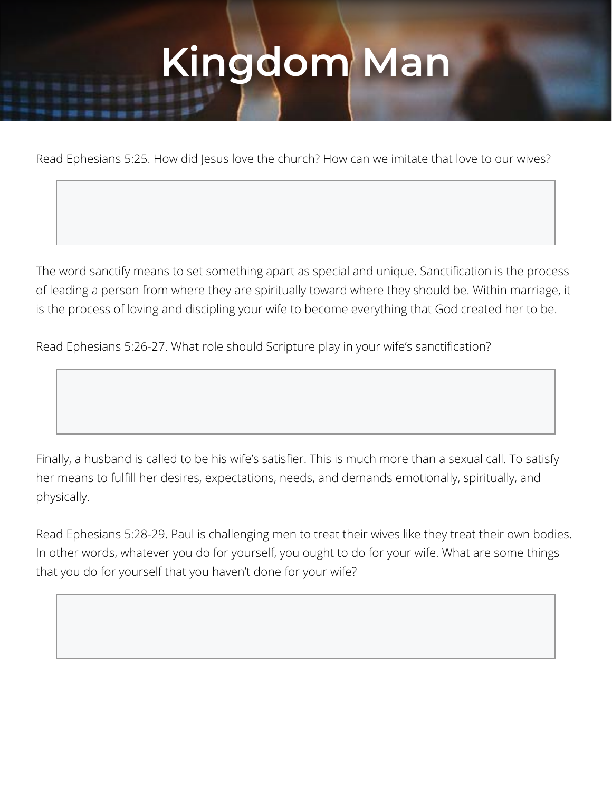Read Ephesians 5:25. How did Jesus love the church? How can we imitate that love to our wives?

The word sanctify means to set something apart as special and unique. Sanctification is the process of leading a person from where they are spiritually toward where they should be. Within marriage, it is the process of loving and discipling your wife to become everything that God created her to be.

Read Ephesians 5:26-27. What role should Scripture play in your wife's sanctification?

Finally, a husband is called to be his wife's satisfier. This is much more than a sexual call. To satisfy her means to fulfill her desires, expectations, needs, and demands emotionally, spiritually, and physically.

Read Ephesians 5:28-29. Paul is challenging men to treat their wives like they treat their own bodies. In other words, whatever you do for yourself, you ought to do for your wife. What are some things that you do for yourself that you haven't done for your wife?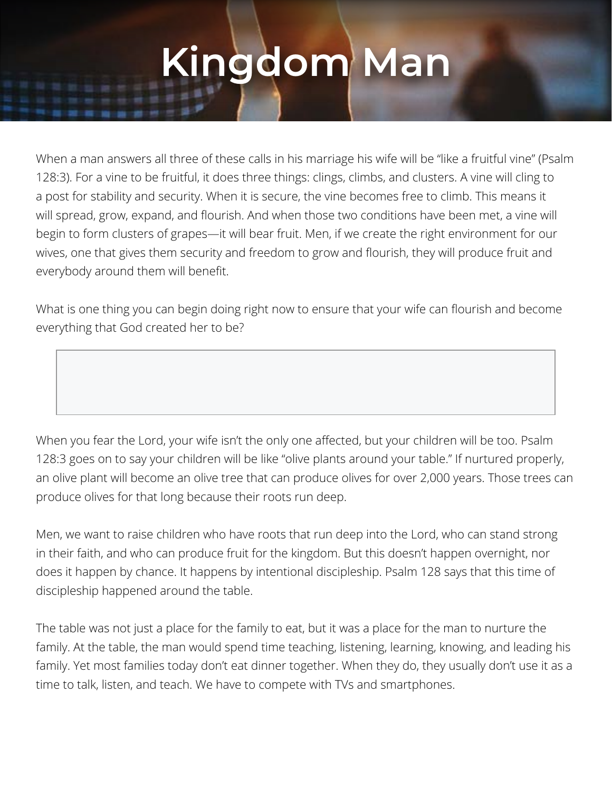When a man answers all three of these calls in his marriage his wife will be "like a fruitful vine" (Psalm 128:3). For a vine to be fruitful, it does three things: clings, climbs, and clusters. A vine will cling to a post for stability and security. When it is secure, the vine becomes free to climb. This means it will spread, grow, expand, and flourish. And when those two conditions have been met, a vine will begin to form clusters of grapes—it will bear fruit. Men, if we create the right environment for our wives, one that gives them security and freedom to grow and flourish, they will produce fruit and everybody around them will benefit.

What is one thing you can begin doing right now to ensure that your wife can flourish and become everything that God created her to be?

When you fear the Lord, your wife isn't the only one affected, but your children will be too. Psalm 128:3 goes on to say your children will be like "olive plants around your table." If nurtured properly, an olive plant will become an olive tree that can produce olives for over 2,000 years. Those trees can produce olives for that long because their roots run deep.

Men, we want to raise children who have roots that run deep into the Lord, who can stand strong in their faith, and who can produce fruit for the kingdom. But this doesn't happen overnight, nor does it happen by chance. It happens by intentional discipleship. Psalm 128 says that this time of discipleship happened around the table.

The table was not just a place for the family to eat, but it was a place for the man to nurture the family. At the table, the man would spend time teaching, listening, learning, knowing, and leading his family. Yet most families today don't eat dinner together. When they do, they usually don't use it as a time to talk, listen, and teach. We have to compete with TVs and smartphones.